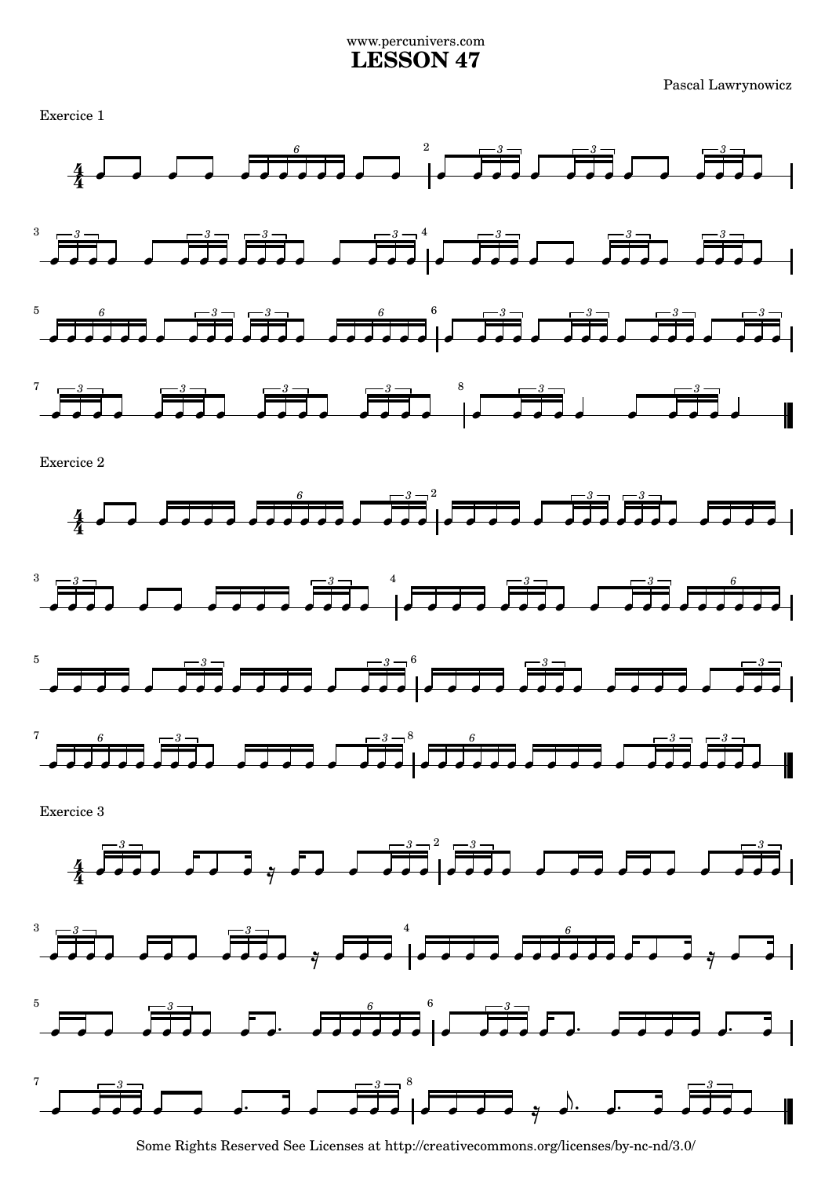## www.percunivers.com **LESSON 47**

Pascal Lawrynowicz



Some Rights Reserved See Licenses at http://creativecommons.org/licenses/by-nc-nd/3.0/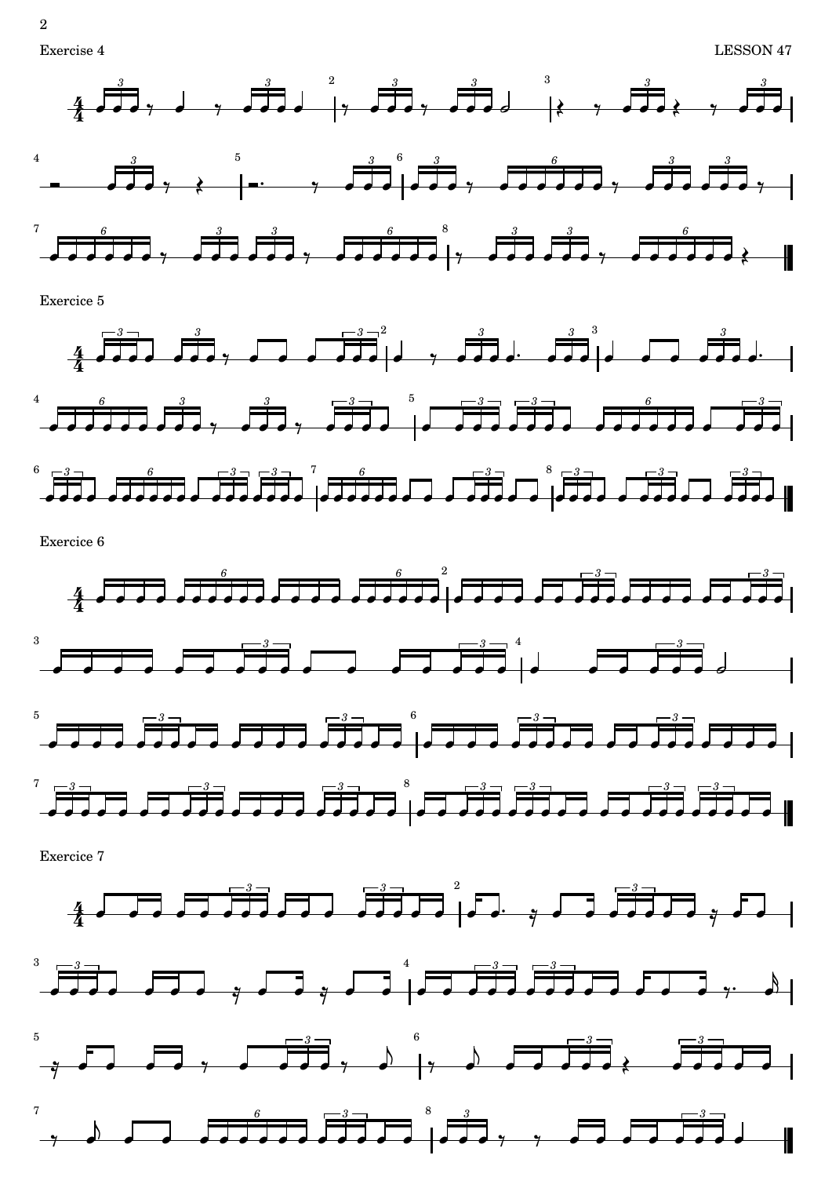

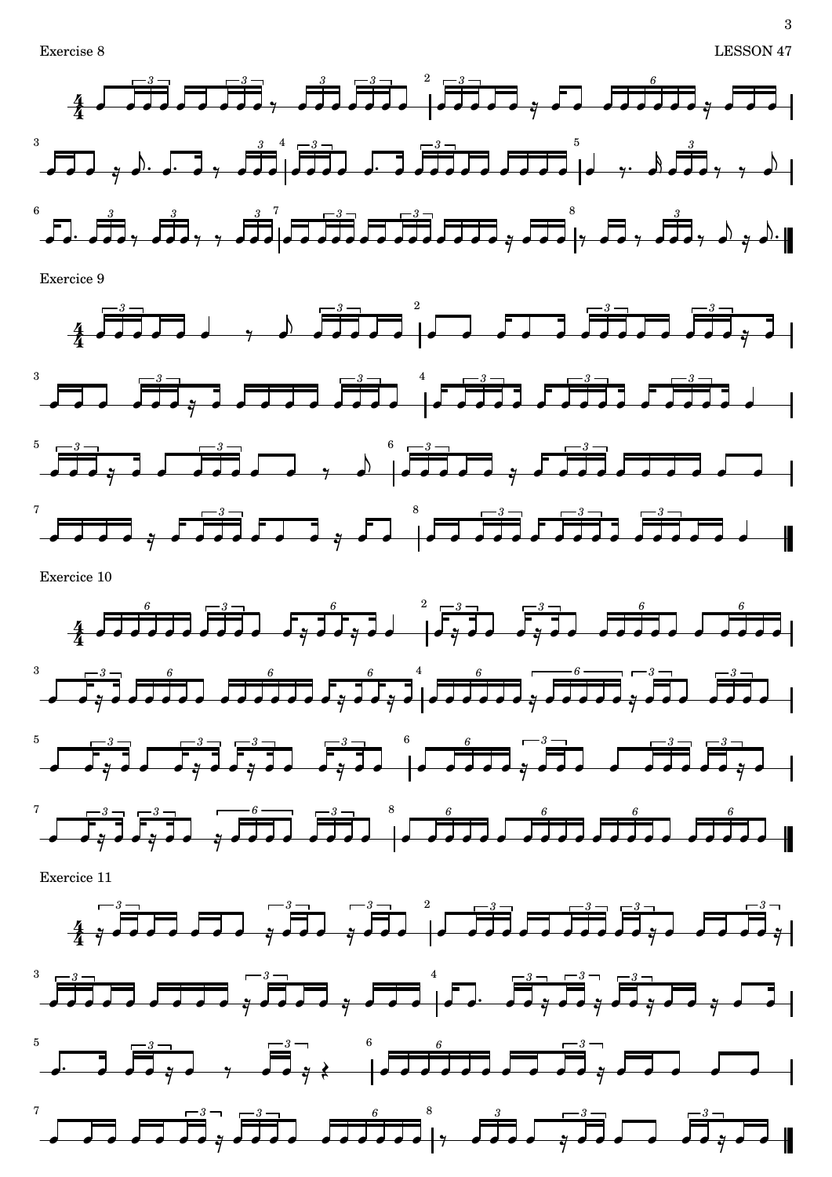